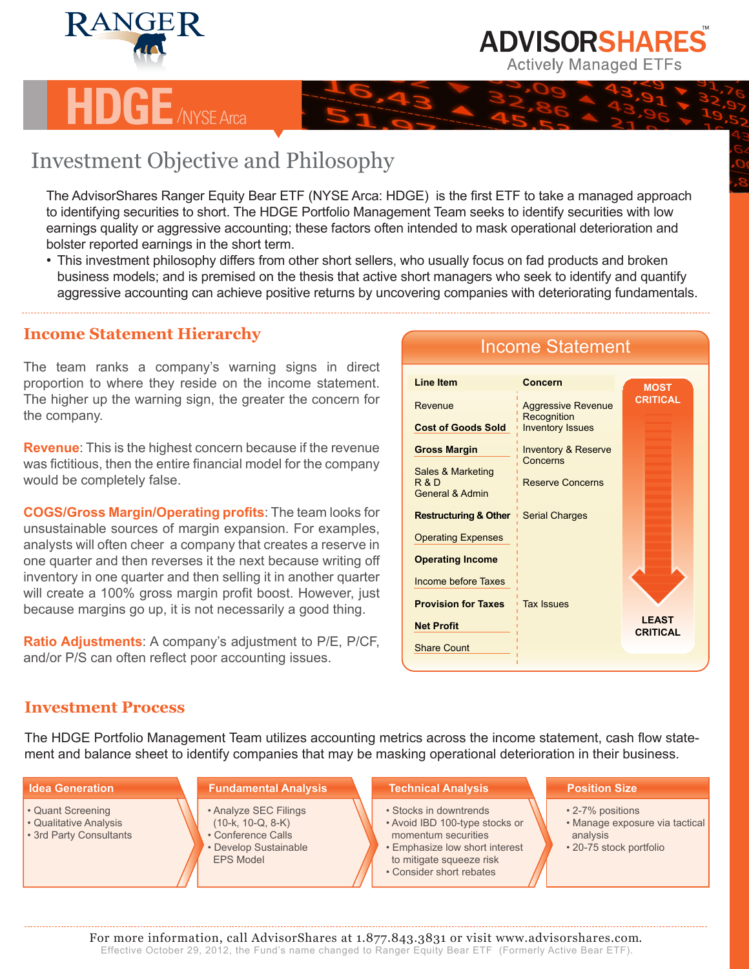

# **H**<br>NYSE Arca

## Investment Objective and Philosophy

The AdvisorShares Ranger Equity Bear ETF (NYSE Arca: HDGE) is the first ETF to take a managed approach to identifying securities to short. The HDGE Portfolio Management Team seeks to identify securities with low earnings quality or aggressive accounting; these factors often intended to mask operational deterioration and bolster reported earnings in the short term.

• This investment philosophy differs from other short sellers, who usually focus on fad products and broken business models; and is premised on the thesis that active short managers who seek to identify and quantify aggressive accounting can achieve positive returns by uncovering companies with deteriorating fundamentals.

## **Income Statement Hierarchy**

The team ranks a company's warning signs in direct proportion to where they reside on the income statement. The higher up the warning sign, the greater the concern for the company.

**Revenue**: This is the highest concern because if the revenue was fictitious, then the entire financial model for the company would be completely false.

**COGS/Gross Margin/Operating profits**: The team looks for unsustainable sources of margin expansion. For examples, analysts will often cheer a company that creates a reserve in one quarter and then reverses it the next because writing off inventory in one quarter and then selling it in another quarter will create a 100% gross margin profit boost. However, just because margins go up, it is not necessarily a good thing.

**Ratio Adjustments**: A company's adjustment to P/E, P/CF, and/or P/S can often reflect poor accounting issues.

#### Income Statement **Line Item** Revenue **Cost of Goods Sold Gross Margin** Sales & Marketing R & D General & Admin **Restructuring & Other** Operating Expenses **Operating Income** Income before Taxes **Provision for Taxes Net Profit** Share Count **Concern** Aggressive Revenue **Recognition** Inventory Issues Inventory & Reserve **Concerns** Reserve Concerns Serial Charges Tax Issues **LEAST CRITICAL MOST CRITICAL**

**ADVISORSHARES Actively Managed ETFs** 

### **Investment Process**

The HDGE Portfolio Management Team utilizes accounting metrics across the income statement, cash flow statement and balance sheet to identify companies that may be masking operational deterioration in their business.

| <b>Idea Generation</b>                                                 | <b>Fundamental Analysis</b>                                                                                     | <b>Technical Analysis</b>                                                                                                                                                 | <b>Position Size</b>                                                                      |
|------------------------------------------------------------------------|-----------------------------------------------------------------------------------------------------------------|---------------------------------------------------------------------------------------------------------------------------------------------------------------------------|-------------------------------------------------------------------------------------------|
| • Quant Screening<br>• Qualitative Analysis<br>• 3rd Party Consultants | • Analyze SEC Filings<br>$(10-k, 10-Q, 8-K)$<br>• Conference Calls<br>• Develop Sustainable<br><b>EPS Model</b> | • Stocks in downtrends<br>• Avoid IBD 100-type stocks or<br>momentum securities<br>• Emphasize low short interest<br>to mitigate squeeze risk<br>• Consider short rebates | • 2-7% positions<br>• Manage exposure via tactical<br>analysis<br>• 20-75 stock portfolio |